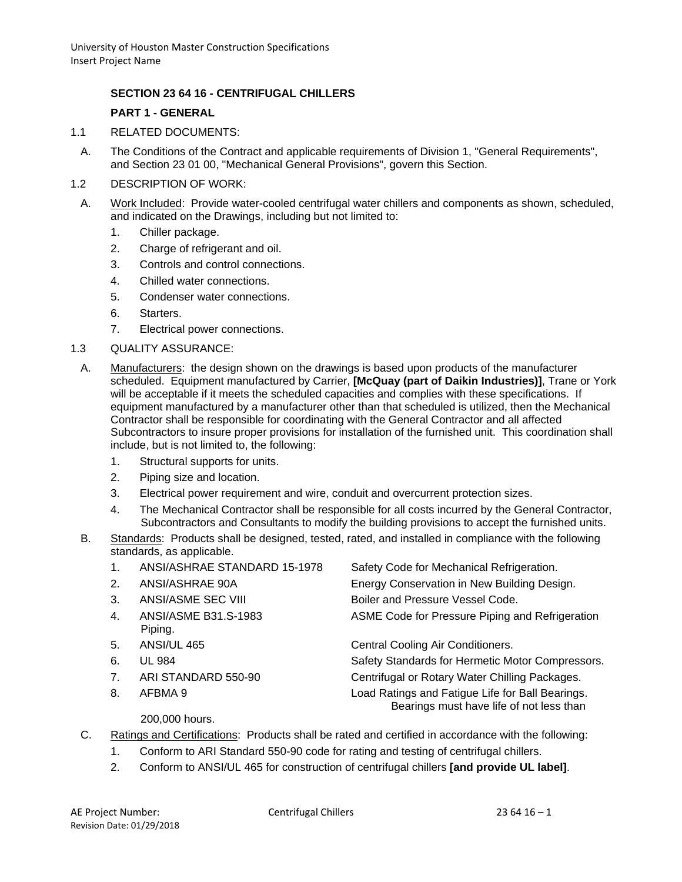## **SECTION 23 64 16 - CENTRIFUGAL CHILLERS**

#### **PART 1 - GENERAL**

- 1.1 RELATED DOCUMENTS:
	- A. The Conditions of the Contract and applicable requirements of Division 1, "General Requirements", and Section 23 01 00, "Mechanical General Provisions", govern this Section.
- 1.2 DESCRIPTION OF WORK:
- A. Work Included: Provide water-cooled centrifugal water chillers and components as shown, scheduled, and indicated on the Drawings, including but not limited to:
	- 1. Chiller package.
	- 2. Charge of refrigerant and oil.
	- 3. Controls and control connections.
	- 4. Chilled water connections.
	- 5. Condenser water connections.
	- 6. Starters.
	- 7. Electrical power connections.
- 1.3 QUALITY ASSURANCE:
- A. Manufacturers: the design shown on the drawings is based upon products of the manufacturer scheduled. Equipment manufactured by Carrier, **[McQuay (part of Daikin Industries)]**, Trane or York will be acceptable if it meets the scheduled capacities and complies with these specifications. If equipment manufactured by a manufacturer other than that scheduled is utilized, then the Mechanical Contractor shall be responsible for coordinating with the General Contractor and all affected Subcontractors to insure proper provisions for installation of the furnished unit. This coordination shall include, but is not limited to, the following:
	- 1. Structural supports for units.
	- 2. Piping size and location.
	- 3. Electrical power requirement and wire, conduit and overcurrent protection sizes.
	- 4. The Mechanical Contractor shall be responsible for all costs incurred by the General Contractor, Subcontractors and Consultants to modify the building provisions to accept the furnished units.
- B. Standards: Products shall be designed, tested, rated, and installed in compliance with the following standards, as applicable.
	- 1. ANSI/ASHRAE STANDARD 15-1978 Safety Code for Mechanical Refrigeration.
	-
	-
	- Piping.
	-
	-
	-
	-
- 
- 2. ANSI/ASHRAE 90A Energy Conservation in New Building Design.

3. ANSI/ASME SEC VIII Boiler and Pressure Vessel Code.

4. ANSI/ASME B31.S-1983 ASME Code for Pressure Piping and Refrigeration

5. ANSI/UL 465 Central Cooling Air Conditioners.

6. UL 984 Safety Standards for Hermetic Motor Compressors.

7. ARI STANDARD 550-90 Centrifugal or Rotary Water Chilling Packages.

8. AFBMA 9 Load Ratings and Fatigue Life for Ball Bearings. Bearings must have life of not less than

## 200,000 hours.

- C. Ratings and Certifications: Products shall be rated and certified in accordance with the following:
	- 1. Conform to ARI Standard 550-90 code for rating and testing of centrifugal chillers.
	- 2. Conform to ANSI/UL 465 for construction of centrifugal chillers **[and provide UL label]**.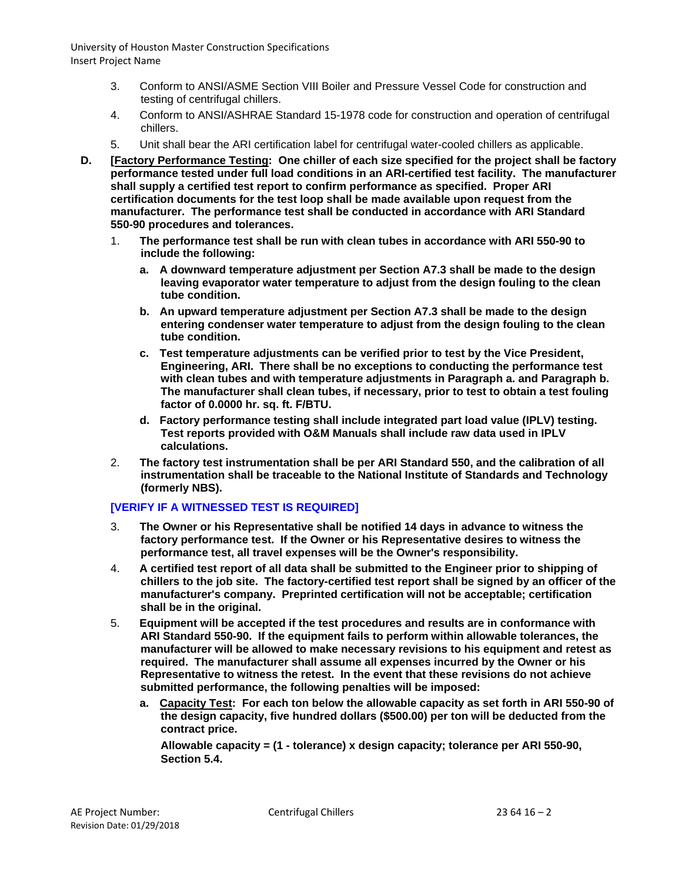- 3. Conform to ANSI/ASME Section VIII Boiler and Pressure Vessel Code for construction and testing of centrifugal chillers.
- 4. Conform to ANSI/ASHRAE Standard 15-1978 code for construction and operation of centrifugal chillers.
- 5. Unit shall bear the ARI certification label for centrifugal water-cooled chillers as applicable.
- **D. [Factory Performance Testing: One chiller of each size specified for the project shall be factory performance tested under full load conditions in an ARI-certified test facility. The manufacturer shall supply a certified test report to confirm performance as specified. Proper ARI certification documents for the test loop shall be made available upon request from the manufacturer. The performance test shall be conducted in accordance with ARI Standard 550-90 procedures and tolerances.**
	- 1. **The performance test shall be run with clean tubes in accordance with ARI 550-90 to include the following:**
		- **a. A downward temperature adjustment per Section A7.3 shall be made to the design leaving evaporator water temperature to adjust from the design fouling to the clean tube condition.**
		- **b. An upward temperature adjustment per Section A7.3 shall be made to the design entering condenser water temperature to adjust from the design fouling to the clean tube condition.**
		- **c. Test temperature adjustments can be verified prior to test by the Vice President, Engineering, ARI. There shall be no exceptions to conducting the performance test with clean tubes and with temperature adjustments in Paragraph a. and Paragraph b. The manufacturer shall clean tubes, if necessary, prior to test to obtain a test fouling factor of 0.0000 hr. sq. ft. F/BTU.**
		- **d. Factory performance testing shall include integrated part load value (IPLV) testing. Test reports provided with O&M Manuals shall include raw data used in IPLV calculations.**
	- 2. **The factory test instrumentation shall be per ARI Standard 550, and the calibration of all instrumentation shall be traceable to the National Institute of Standards and Technology (formerly NBS).**

# **[VERIFY IF A WITNESSED TEST IS REQUIRED]**

- 3. **The Owner or his Representative shall be notified 14 days in advance to witness the factory performance test. If the Owner or his Representative desires to witness the performance test, all travel expenses will be the Owner's responsibility.**
- 4. **A certified test report of all data shall be submitted to the Engineer prior to shipping of chillers to the job site. The factory-certified test report shall be signed by an officer of the manufacturer's company. Preprinted certification will not be acceptable; certification shall be in the original.**
- 5. **Equipment will be accepted if the test procedures and results are in conformance with ARI Standard 550-90. If the equipment fails to perform within allowable tolerances, the manufacturer will be allowed to make necessary revisions to his equipment and retest as required. The manufacturer shall assume all expenses incurred by the Owner or his Representative to witness the retest. In the event that these revisions do not achieve submitted performance, the following penalties will be imposed:**
	- **a. Capacity Test: For each ton below the allowable capacity as set forth in ARI 550-90 of the design capacity, five hundred dollars (\$500.00) per ton will be deducted from the contract price.**

**Allowable capacity = (1 - tolerance) x design capacity; tolerance per ARI 550-90, Section 5.4.**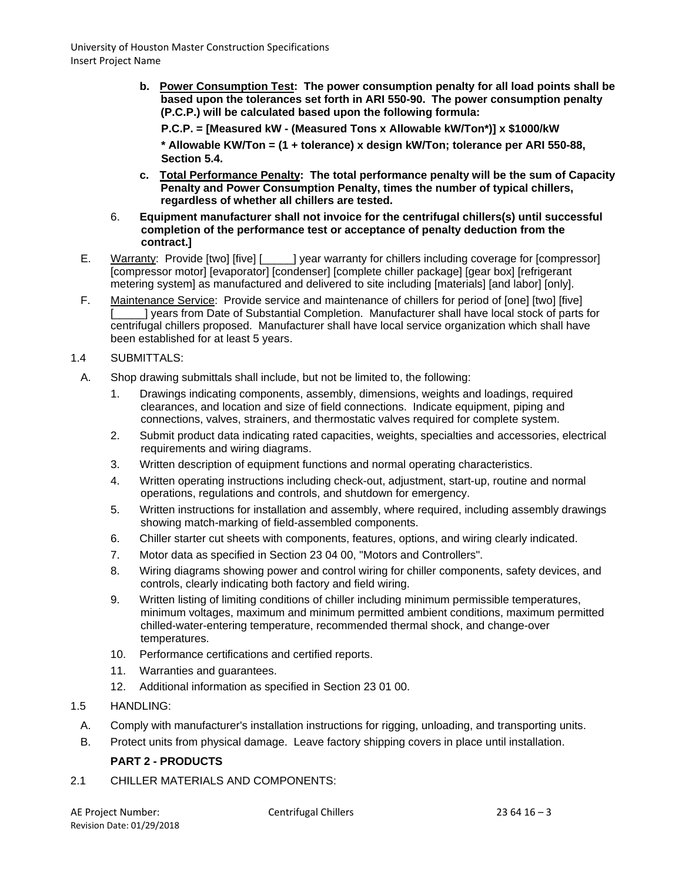- **b. Power Consumption Test: The power consumption penalty for all load points shall be based upon the tolerances set forth in ARI 550-90. The power consumption penalty (P.C.P.) will be calculated based upon the following formula:**
	- **P.C.P. = [Measured kW - (Measured Tons x Allowable kW/Ton\*)] x \$1000/kW**

**\* Allowable KW/Ton = (1 + tolerance) x design kW/Ton; tolerance per ARI 550-88, Section 5.4.**

- **c. Total Performance Penalty: The total performance penalty will be the sum of Capacity Penalty and Power Consumption Penalty, times the number of typical chillers, regardless of whether all chillers are tested.**
- 6. **Equipment manufacturer shall not invoice for the centrifugal chillers(s) until successful completion of the performance test or acceptance of penalty deduction from the contract.]**
- E. Warranty: Provide [two] [five] [\_\_\_\_\_] year warranty for chillers including coverage for [compressor] [compressor motor] [evaporator] [condenser] [complete chiller package] [gear box] [refrigerant metering system] as manufactured and delivered to site including [materials] [and labor] [only].
- F. Maintenance Service: Provide service and maintenance of chillers for period of [one] [two] [five] [\_\_\_\_\_] years from Date of Substantial Completion. Manufacturer shall have local stock of parts for centrifugal chillers proposed. Manufacturer shall have local service organization which shall have been established for at least 5 years.
- 1.4 SUBMITTALS:
	- A. Shop drawing submittals shall include, but not be limited to, the following:
		- 1. Drawings indicating components, assembly, dimensions, weights and loadings, required clearances, and location and size of field connections. Indicate equipment, piping and connections, valves, strainers, and thermostatic valves required for complete system.
		- 2. Submit product data indicating rated capacities, weights, specialties and accessories, electrical requirements and wiring diagrams.
		- 3. Written description of equipment functions and normal operating characteristics.
		- 4. Written operating instructions including check-out, adjustment, start-up, routine and normal operations, regulations and controls, and shutdown for emergency.
		- 5. Written instructions for installation and assembly, where required, including assembly drawings showing match-marking of field-assembled components.
		- 6. Chiller starter cut sheets with components, features, options, and wiring clearly indicated.
		- 7. Motor data as specified in Section 23 04 00, "Motors and Controllers".
		- 8. Wiring diagrams showing power and control wiring for chiller components, safety devices, and controls, clearly indicating both factory and field wiring.
		- 9. Written listing of limiting conditions of chiller including minimum permissible temperatures, minimum voltages, maximum and minimum permitted ambient conditions, maximum permitted chilled-water-entering temperature, recommended thermal shock, and change-over temperatures.
		- 10. Performance certifications and certified reports.
		- 11. Warranties and guarantees.
		- 12. Additional information as specified in Section 23 01 00.
- 1.5 HANDLING:
- A. Comply with manufacturer's installation instructions for rigging, unloading, and transporting units.
- B. Protect units from physical damage. Leave factory shipping covers in place until installation.

# **PART 2 - PRODUCTS**

2.1 CHILLER MATERIALS AND COMPONENTS: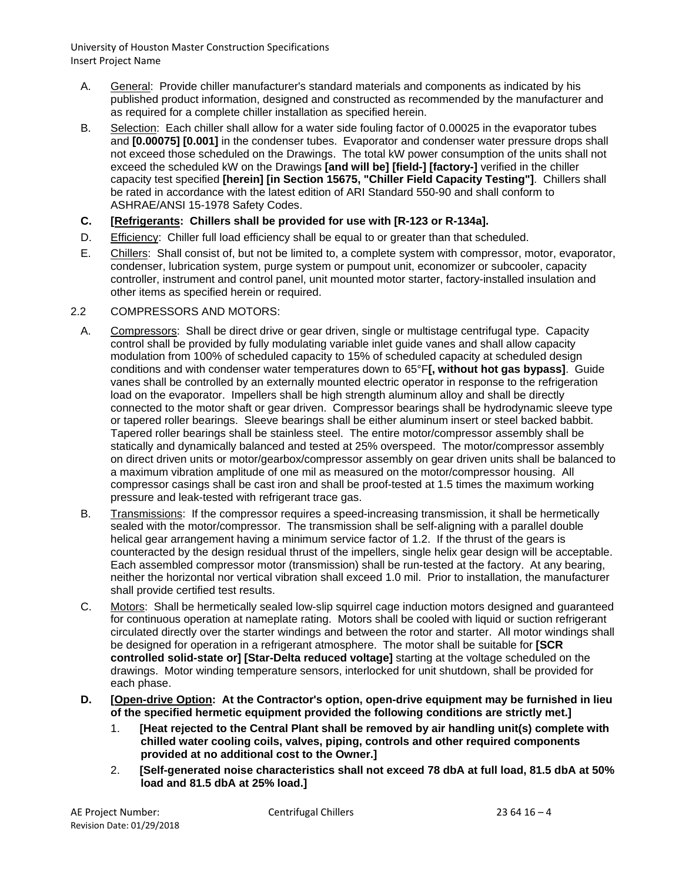- A. General: Provide chiller manufacturer's standard materials and components as indicated by his published product information, designed and constructed as recommended by the manufacturer and as required for a complete chiller installation as specified herein.
- B. Selection: Each chiller shall allow for a water side fouling factor of 0.00025 in the evaporator tubes and **[0.00075] [0.001]** in the condenser tubes. Evaporator and condenser water pressure drops shall not exceed those scheduled on the Drawings. The total kW power consumption of the units shall not exceed the scheduled kW on the Drawings **[and will be] [field-] [factory-]** verified in the chiller capacity test specified **[herein] [in Section 15675, "Chiller Field Capacity Testing"]**. Chillers shall be rated in accordance with the latest edition of ARI Standard 550-90 and shall conform to ASHRAE/ANSI 15-1978 Safety Codes.
- **C. [Refrigerants: Chillers shall be provided for use with [R-123 or R-134a].**
- D. Efficiency: Chiller full load efficiency shall be equal to or greater than that scheduled.
- E. Chillers: Shall consist of, but not be limited to, a complete system with compressor, motor, evaporator, condenser, lubrication system, purge system or pumpout unit, economizer or subcooler, capacity controller, instrument and control panel, unit mounted motor starter, factory-installed insulation and other items as specified herein or required.

## 2.2 COMPRESSORS AND MOTORS:

- A. Compressors: Shall be direct drive or gear driven, single or multistage centrifugal type. Capacity control shall be provided by fully modulating variable inlet guide vanes and shall allow capacity modulation from 100% of scheduled capacity to 15% of scheduled capacity at scheduled design conditions and with condenser water temperatures down to 65°F**[, without hot gas bypass]**. Guide vanes shall be controlled by an externally mounted electric operator in response to the refrigeration load on the evaporator. Impellers shall be high strength aluminum alloy and shall be directly connected to the motor shaft or gear driven. Compressor bearings shall be hydrodynamic sleeve type or tapered roller bearings. Sleeve bearings shall be either aluminum insert or steel backed babbit. Tapered roller bearings shall be stainless steel. The entire motor/compressor assembly shall be statically and dynamically balanced and tested at 25% overspeed. The motor/compressor assembly on direct driven units or motor/gearbox/compressor assembly on gear driven units shall be balanced to a maximum vibration amplitude of one mil as measured on the motor/compressor housing. All compressor casings shall be cast iron and shall be proof-tested at 1.5 times the maximum working pressure and leak-tested with refrigerant trace gas.
- B. Transmissions: If the compressor requires a speed-increasing transmission, it shall be hermetically sealed with the motor/compressor. The transmission shall be self-aligning with a parallel double helical gear arrangement having a minimum service factor of 1.2. If the thrust of the gears is counteracted by the design residual thrust of the impellers, single helix gear design will be acceptable. Each assembled compressor motor (transmission) shall be run-tested at the factory. At any bearing, neither the horizontal nor vertical vibration shall exceed 1.0 mil. Prior to installation, the manufacturer shall provide certified test results.
- C. Motors: Shall be hermetically sealed low-slip squirrel cage induction motors designed and guaranteed for continuous operation at nameplate rating. Motors shall be cooled with liquid or suction refrigerant circulated directly over the starter windings and between the rotor and starter. All motor windings shall be designed for operation in a refrigerant atmosphere. The motor shall be suitable for **[SCR controlled solid-state or] [Star-Delta reduced voltage]** starting at the voltage scheduled on the drawings. Motor winding temperature sensors, interlocked for unit shutdown, shall be provided for each phase.
- **D. [Open-drive Option: At the Contractor's option, open-drive equipment may be furnished in lieu of the specified hermetic equipment provided the following conditions are strictly met.]**
	- 1. **[Heat rejected to the Central Plant shall be removed by air handling unit(s) complete with chilled water cooling coils, valves, piping, controls and other required components provided at no additional cost to the Owner.]**
	- 2. **[Self-generated noise characteristics shall not exceed 78 dbA at full load, 81.5 dbA at 50% load and 81.5 dbA at 25% load.]**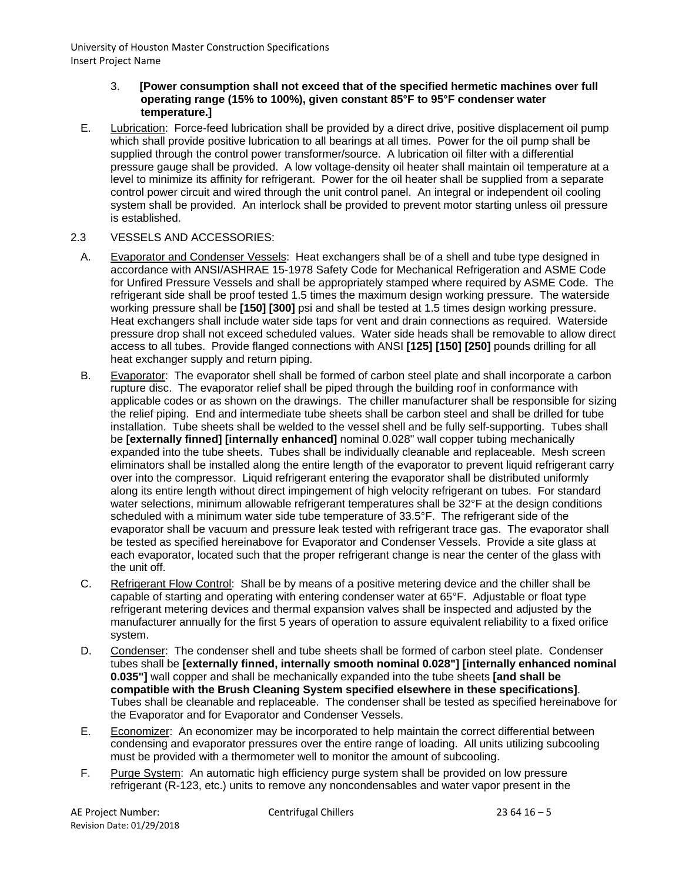#### 3. **[Power consumption shall not exceed that of the specified hermetic machines over full operating range (15% to 100%), given constant 85°F to 95°F condenser water temperature.]**

E. Lubrication: Force-feed lubrication shall be provided by a direct drive, positive displacement oil pump which shall provide positive lubrication to all bearings at all times. Power for the oil pump shall be supplied through the control power transformer/source. A lubrication oil filter with a differential pressure gauge shall be provided. A low voltage-density oil heater shall maintain oil temperature at a level to minimize its affinity for refrigerant. Power for the oil heater shall be supplied from a separate control power circuit and wired through the unit control panel. An integral or independent oil cooling system shall be provided. An interlock shall be provided to prevent motor starting unless oil pressure is established.

## 2.3 VESSELS AND ACCESSORIES:

- A. Evaporator and Condenser Vessels: Heat exchangers shall be of a shell and tube type designed in accordance with ANSI/ASHRAE 15-1978 Safety Code for Mechanical Refrigeration and ASME Code for Unfired Pressure Vessels and shall be appropriately stamped where required by ASME Code. The refrigerant side shall be proof tested 1.5 times the maximum design working pressure. The waterside working pressure shall be **[150] [300]** psi and shall be tested at 1.5 times design working pressure. Heat exchangers shall include water side taps for vent and drain connections as required. Waterside pressure drop shall not exceed scheduled values. Water side heads shall be removable to allow direct access to all tubes. Provide flanged connections with ANSI **[125] [150] [250]** pounds drilling for all heat exchanger supply and return piping.
- B. Evaporator: The evaporator shell shall be formed of carbon steel plate and shall incorporate a carbon rupture disc. The evaporator relief shall be piped through the building roof in conformance with applicable codes or as shown on the drawings. The chiller manufacturer shall be responsible for sizing the relief piping. End and intermediate tube sheets shall be carbon steel and shall be drilled for tube installation. Tube sheets shall be welded to the vessel shell and be fully self-supporting. Tubes shall be **[externally finned] [internally enhanced]** nominal 0.028" wall copper tubing mechanically expanded into the tube sheets. Tubes shall be individually cleanable and replaceable. Mesh screen eliminators shall be installed along the entire length of the evaporator to prevent liquid refrigerant carry over into the compressor. Liquid refrigerant entering the evaporator shall be distributed uniformly along its entire length without direct impingement of high velocity refrigerant on tubes. For standard water selections, minimum allowable refrigerant temperatures shall be 32°F at the design conditions scheduled with a minimum water side tube temperature of 33.5°F. The refrigerant side of the evaporator shall be vacuum and pressure leak tested with refrigerant trace gas. The evaporator shall be tested as specified hereinabove for Evaporator and Condenser Vessels. Provide a site glass at each evaporator, located such that the proper refrigerant change is near the center of the glass with the unit off.
- C. Refrigerant Flow Control: Shall be by means of a positive metering device and the chiller shall be capable of starting and operating with entering condenser water at 65°F. Adjustable or float type refrigerant metering devices and thermal expansion valves shall be inspected and adjusted by the manufacturer annually for the first 5 years of operation to assure equivalent reliability to a fixed orifice system.
- D. Condenser: The condenser shell and tube sheets shall be formed of carbon steel plate. Condenser tubes shall be **[externally finned, internally smooth nominal 0.028"] [internally enhanced nominal 0.035"]** wall copper and shall be mechanically expanded into the tube sheets **[and shall be compatible with the Brush Cleaning System specified elsewhere in these specifications]**. Tubes shall be cleanable and replaceable. The condenser shall be tested as specified hereinabove for the Evaporator and for Evaporator and Condenser Vessels.
- E. Economizer: An economizer may be incorporated to help maintain the correct differential between condensing and evaporator pressures over the entire range of loading. All units utilizing subcooling must be provided with a thermometer well to monitor the amount of subcooling.
- F. Purge System: An automatic high efficiency purge system shall be provided on low pressure refrigerant (R-123, etc.) units to remove any noncondensables and water vapor present in the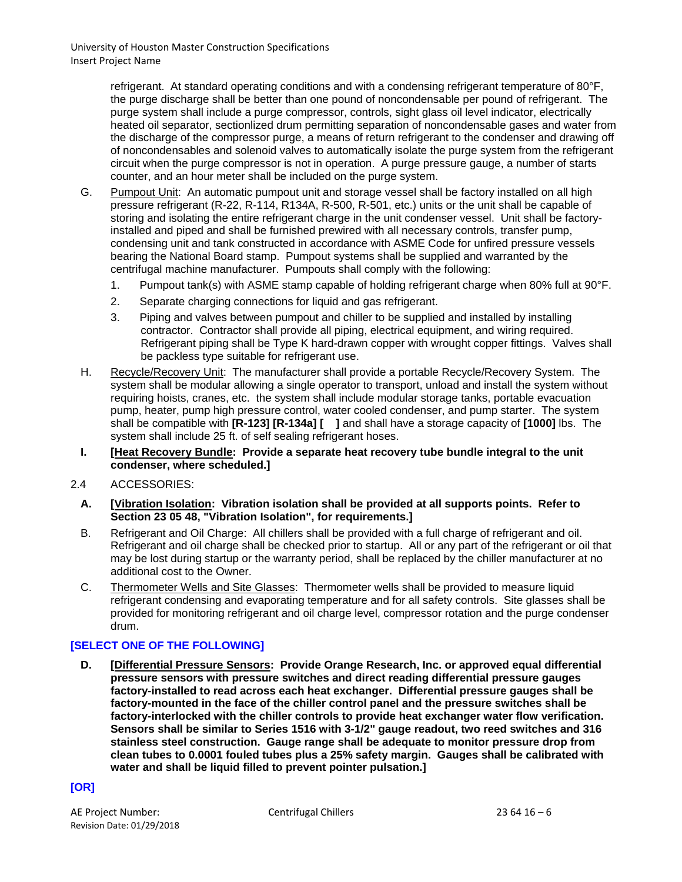refrigerant. At standard operating conditions and with a condensing refrigerant temperature of 80°F, the purge discharge shall be better than one pound of noncondensable per pound of refrigerant. The purge system shall include a purge compressor, controls, sight glass oil level indicator, electrically heated oil separator, sectionlized drum permitting separation of noncondensable gases and water from the discharge of the compressor purge, a means of return refrigerant to the condenser and drawing off of noncondensables and solenoid valves to automatically isolate the purge system from the refrigerant circuit when the purge compressor is not in operation. A purge pressure gauge, a number of starts counter, and an hour meter shall be included on the purge system.

- G. Pumpout Unit: An automatic pumpout unit and storage vessel shall be factory installed on all high pressure refrigerant (R-22, R-114, R134A, R-500, R-501, etc.) units or the unit shall be capable of storing and isolating the entire refrigerant charge in the unit condenser vessel. Unit shall be factoryinstalled and piped and shall be furnished prewired with all necessary controls, transfer pump, condensing unit and tank constructed in accordance with ASME Code for unfired pressure vessels bearing the National Board stamp. Pumpout systems shall be supplied and warranted by the centrifugal machine manufacturer. Pumpouts shall comply with the following:
	- 1. Pumpout tank(s) with ASME stamp capable of holding refrigerant charge when 80% full at 90°F.
	- 2. Separate charging connections for liquid and gas refrigerant.
	- 3. Piping and valves between pumpout and chiller to be supplied and installed by installing contractor. Contractor shall provide all piping, electrical equipment, and wiring required. Refrigerant piping shall be Type K hard-drawn copper with wrought copper fittings. Valves shall be packless type suitable for refrigerant use.
- H. Recycle/Recovery Unit: The manufacturer shall provide a portable Recycle/Recovery System. The system shall be modular allowing a single operator to transport, unload and install the system without requiring hoists, cranes, etc. the system shall include modular storage tanks, portable evacuation pump, heater, pump high pressure control, water cooled condenser, and pump starter. The system shall be compatible with **[R-123] [R-134a] [ ]** and shall have a storage capacity of **[1000]** lbs. The system shall include 25 ft. of self sealing refrigerant hoses.
- **I. [Heat Recovery Bundle: Provide a separate heat recovery tube bundle integral to the unit condenser, where scheduled.]**
- 2.4 ACCESSORIES:
	- **A. [Vibration Isolation: Vibration isolation shall be provided at all supports points. Refer to Section 23 05 48, "Vibration Isolation", for requirements.]**
	- B. Refrigerant and Oil Charge: All chillers shall be provided with a full charge of refrigerant and oil. Refrigerant and oil charge shall be checked prior to startup. All or any part of the refrigerant or oil that may be lost during startup or the warranty period, shall be replaced by the chiller manufacturer at no additional cost to the Owner.
	- C. Thermometer Wells and Site Glasses: Thermometer wells shall be provided to measure liquid refrigerant condensing and evaporating temperature and for all safety controls. Site glasses shall be provided for monitoring refrigerant and oil charge level, compressor rotation and the purge condenser drum.

# **[SELECT ONE OF THE FOLLOWING]**

**D. [Differential Pressure Sensors: Provide Orange Research, Inc. or approved equal differential pressure sensors with pressure switches and direct reading differential pressure gauges factory-installed to read across each heat exchanger. Differential pressure gauges shall be factory-mounted in the face of the chiller control panel and the pressure switches shall be factory-interlocked with the chiller controls to provide heat exchanger water flow verification. Sensors shall be similar to Series 1516 with 3-1/2" gauge readout, two reed switches and 316 stainless steel construction. Gauge range shall be adequate to monitor pressure drop from clean tubes to 0.0001 fouled tubes plus a 25% safety margin. Gauges shall be calibrated with water and shall be liquid filled to prevent pointer pulsation.]**

# **[OR]**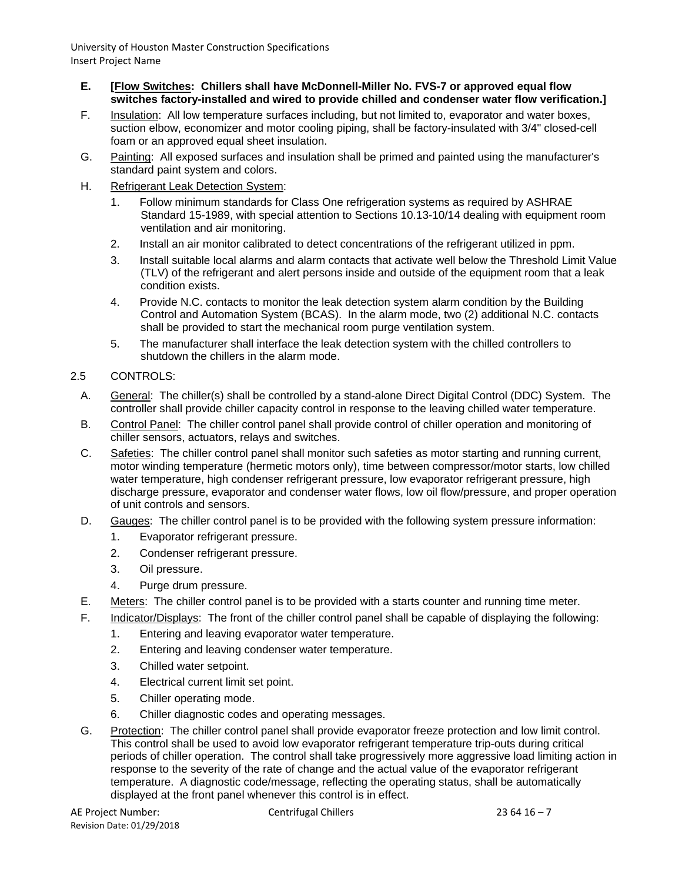- **E. [Flow Switches: Chillers shall have McDonnell-Miller No. FVS-7 or approved equal flow switches factory-installed and wired to provide chilled and condenser water flow verification.]**
- F. Insulation: All low temperature surfaces including, but not limited to, evaporator and water boxes, suction elbow, economizer and motor cooling piping, shall be factory-insulated with 3/4" closed-cell foam or an approved equal sheet insulation.
- G. Painting: All exposed surfaces and insulation shall be primed and painted using the manufacturer's standard paint system and colors.
- H. Refrigerant Leak Detection System:
	- 1. Follow minimum standards for Class One refrigeration systems as required by ASHRAE Standard 15-1989, with special attention to Sections 10.13-10/14 dealing with equipment room ventilation and air monitoring.
	- 2. Install an air monitor calibrated to detect concentrations of the refrigerant utilized in ppm.
	- 3. Install suitable local alarms and alarm contacts that activate well below the Threshold Limit Value (TLV) of the refrigerant and alert persons inside and outside of the equipment room that a leak condition exists.
	- 4. Provide N.C. contacts to monitor the leak detection system alarm condition by the Building Control and Automation System (BCAS). In the alarm mode, two (2) additional N.C. contacts shall be provided to start the mechanical room purge ventilation system.
	- 5. The manufacturer shall interface the leak detection system with the chilled controllers to shutdown the chillers in the alarm mode.
- 2.5 CONTROLS:
	- A. General: The chiller(s) shall be controlled by a stand-alone Direct Digital Control (DDC) System. The controller shall provide chiller capacity control in response to the leaving chilled water temperature.
	- B. Control Panel: The chiller control panel shall provide control of chiller operation and monitoring of chiller sensors, actuators, relays and switches.
	- C. Safeties: The chiller control panel shall monitor such safeties as motor starting and running current, motor winding temperature (hermetic motors only), time between compressor/motor starts, low chilled water temperature, high condenser refrigerant pressure, low evaporator refrigerant pressure, high discharge pressure, evaporator and condenser water flows, low oil flow/pressure, and proper operation of unit controls and sensors.
	- D. Gauges: The chiller control panel is to be provided with the following system pressure information:
		- 1. Evaporator refrigerant pressure.
		- 2. Condenser refrigerant pressure.
		- 3. Oil pressure.
		- 4. Purge drum pressure.
	- E. Meters: The chiller control panel is to be provided with a starts counter and running time meter.
	- F. Indicator/Displays: The front of the chiller control panel shall be capable of displaying the following:
		- 1. Entering and leaving evaporator water temperature.
		- 2. Entering and leaving condenser water temperature.
		- 3. Chilled water setpoint.
		- 4. Electrical current limit set point.
		- 5. Chiller operating mode.
		- 6. Chiller diagnostic codes and operating messages.
	- G. Protection: The chiller control panel shall provide evaporator freeze protection and low limit control. This control shall be used to avoid low evaporator refrigerant temperature trip-outs during critical periods of chiller operation. The control shall take progressively more aggressive load limiting action in response to the severity of the rate of change and the actual value of the evaporator refrigerant temperature. A diagnostic code/message, reflecting the operating status, shall be automatically displayed at the front panel whenever this control is in effect.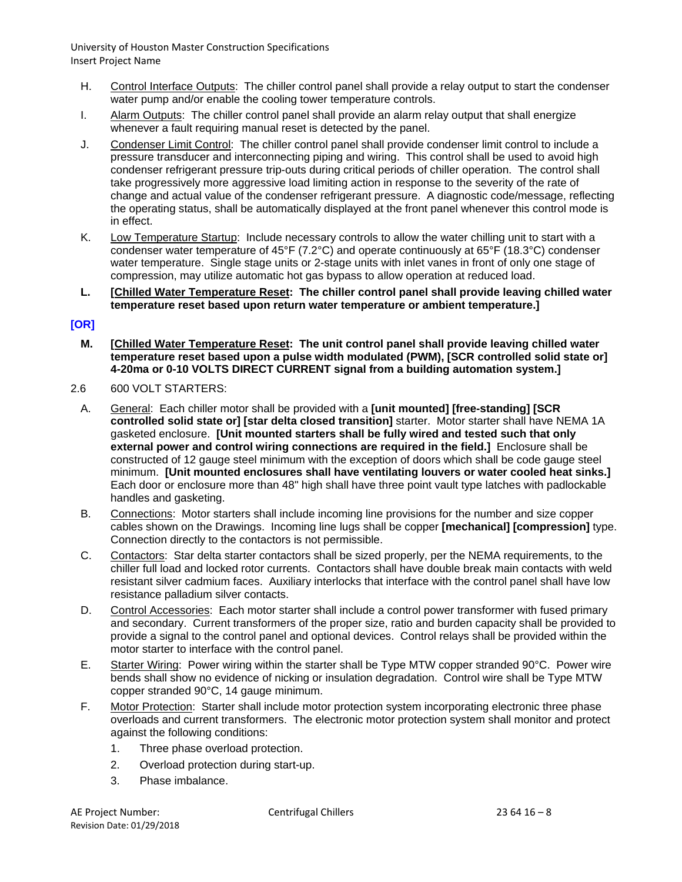- H. Control Interface Outputs: The chiller control panel shall provide a relay output to start the condenser water pump and/or enable the cooling tower temperature controls.
- I. Alarm Outputs: The chiller control panel shall provide an alarm relay output that shall energize whenever a fault requiring manual reset is detected by the panel.
- J. Condenser Limit Control: The chiller control panel shall provide condenser limit control to include a pressure transducer and interconnecting piping and wiring. This control shall be used to avoid high condenser refrigerant pressure trip-outs during critical periods of chiller operation. The control shall take progressively more aggressive load limiting action in response to the severity of the rate of change and actual value of the condenser refrigerant pressure. A diagnostic code/message, reflecting the operating status, shall be automatically displayed at the front panel whenever this control mode is in effect.
- K. Low Temperature Startup: Include necessary controls to allow the water chilling unit to start with a condenser water temperature of 45°F (7.2°C) and operate continuously at 65°F (18.3°C) condenser water temperature. Single stage units or 2-stage units with inlet vanes in front of only one stage of compression, may utilize automatic hot gas bypass to allow operation at reduced load.
- **L. [Chilled Water Temperature Reset: The chiller control panel shall provide leaving chilled water temperature reset based upon return water temperature or ambient temperature.]**

## **[OR]**

- **M. [Chilled Water Temperature Reset: The unit control panel shall provide leaving chilled water temperature reset based upon a pulse width modulated (PWM), [SCR controlled solid state or] 4-20ma or 0-10 VOLTS DIRECT CURRENT signal from a building automation system.]**
- 2.6 600 VOLT STARTERS:
	- A. General: Each chiller motor shall be provided with a **[unit mounted] [free-standing] [SCR controlled solid state or] [star delta closed transition]** starter. Motor starter shall have NEMA 1A gasketed enclosure. **[Unit mounted starters shall be fully wired and tested such that only external power and control wiring connections are required in the field.]** Enclosure shall be constructed of 12 gauge steel minimum with the exception of doors which shall be code gauge steel minimum. **[Unit mounted enclosures shall have ventilating louvers or water cooled heat sinks.]** Each door or enclosure more than 48" high shall have three point vault type latches with padlockable handles and gasketing.
	- B. Connections: Motor starters shall include incoming line provisions for the number and size copper cables shown on the Drawings. Incoming line lugs shall be copper **[mechanical] [compression]** type. Connection directly to the contactors is not permissible.
	- C. Contactors: Star delta starter contactors shall be sized properly, per the NEMA requirements, to the chiller full load and locked rotor currents. Contactors shall have double break main contacts with weld resistant silver cadmium faces. Auxiliary interlocks that interface with the control panel shall have low resistance palladium silver contacts.
	- D. Control Accessories: Each motor starter shall include a control power transformer with fused primary and secondary. Current transformers of the proper size, ratio and burden capacity shall be provided to provide a signal to the control panel and optional devices. Control relays shall be provided within the motor starter to interface with the control panel.
	- E. Starter Wiring: Power wiring within the starter shall be Type MTW copper stranded 90°C. Power wire bends shall show no evidence of nicking or insulation degradation. Control wire shall be Type MTW copper stranded 90°C, 14 gauge minimum.
	- F. Motor Protection: Starter shall include motor protection system incorporating electronic three phase overloads and current transformers. The electronic motor protection system shall monitor and protect against the following conditions:
		- 1. Three phase overload protection.
		- 2. Overload protection during start-up.
		- 3. Phase imbalance.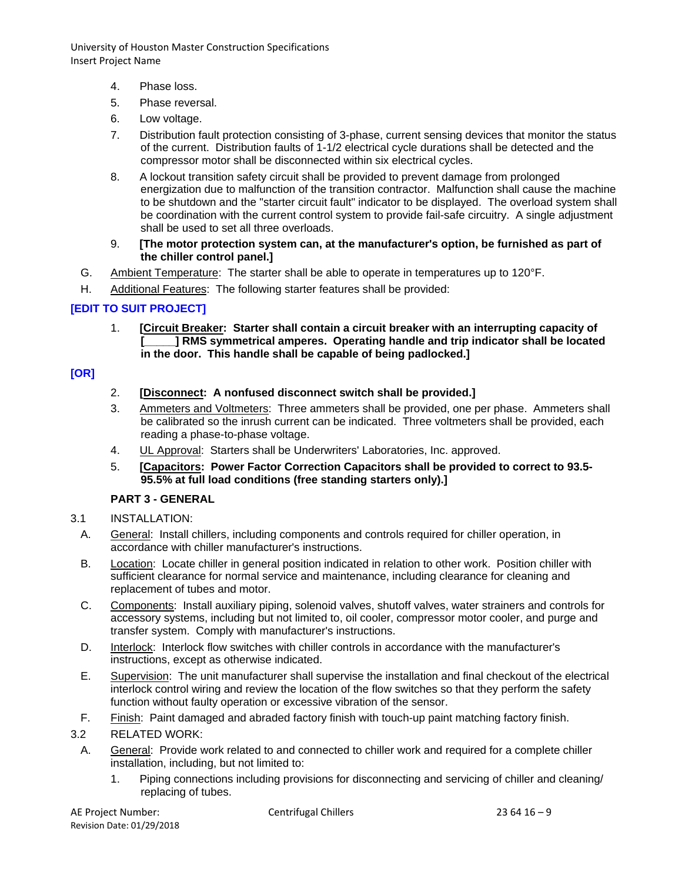- 4. Phase loss.
- 5. Phase reversal.
- 6. Low voltage.
- 7. Distribution fault protection consisting of 3-phase, current sensing devices that monitor the status of the current. Distribution faults of 1-1/2 electrical cycle durations shall be detected and the compressor motor shall be disconnected within six electrical cycles.
- 8. A lockout transition safety circuit shall be provided to prevent damage from prolonged energization due to malfunction of the transition contractor. Malfunction shall cause the machine to be shutdown and the "starter circuit fault" indicator to be displayed. The overload system shall be coordination with the current control system to provide fail-safe circuitry. A single adjustment shall be used to set all three overloads.
- 9. **[The motor protection system can, at the manufacturer's option, be furnished as part of the chiller control panel.]**
- G. Ambient Temperature: The starter shall be able to operate in temperatures up to 120°F.
- H. Additional Features: The following starter features shall be provided:

# **[EDIT TO SUIT PROJECT]**

1. **[Circuit Breaker: Starter shall contain a circuit breaker with an interrupting capacity of [\_\_\_\_\_] RMS symmetrical amperes. Operating handle and trip indicator shall be located in the door. This handle shall be capable of being padlocked.]**

# **[OR]**

- 2. **[Disconnect: A nonfused disconnect switch shall be provided.]**
- 3. Ammeters and Voltmeters: Three ammeters shall be provided, one per phase. Ammeters shall be calibrated so the inrush current can be indicated. Three voltmeters shall be provided, each reading a phase-to-phase voltage.
- 4. UL Approval: Starters shall be Underwriters' Laboratories, Inc. approved.
- 5. **[Capacitors: Power Factor Correction Capacitors shall be provided to correct to 93.5- 95.5% at full load conditions (free standing starters only).]**

#### **PART 3 - GENERAL**

- 3.1 INSTALLATION:
	- A. General: Install chillers, including components and controls required for chiller operation, in accordance with chiller manufacturer's instructions.
	- B. Location: Locate chiller in general position indicated in relation to other work. Position chiller with sufficient clearance for normal service and maintenance, including clearance for cleaning and replacement of tubes and motor.
	- C. Components: Install auxiliary piping, solenoid valves, shutoff valves, water strainers and controls for accessory systems, including but not limited to, oil cooler, compressor motor cooler, and purge and transfer system. Comply with manufacturer's instructions.
	- D. Interlock: Interlock flow switches with chiller controls in accordance with the manufacturer's instructions, except as otherwise indicated.
	- E. Supervision: The unit manufacturer shall supervise the installation and final checkout of the electrical interlock control wiring and review the location of the flow switches so that they perform the safety function without faulty operation or excessive vibration of the sensor.
- F. Finish: Paint damaged and abraded factory finish with touch-up paint matching factory finish.

#### 3.2 RELATED WORK:

- A. General: Provide work related to and connected to chiller work and required for a complete chiller installation, including, but not limited to:
	- 1. Piping connections including provisions for disconnecting and servicing of chiller and cleaning/ replacing of tubes.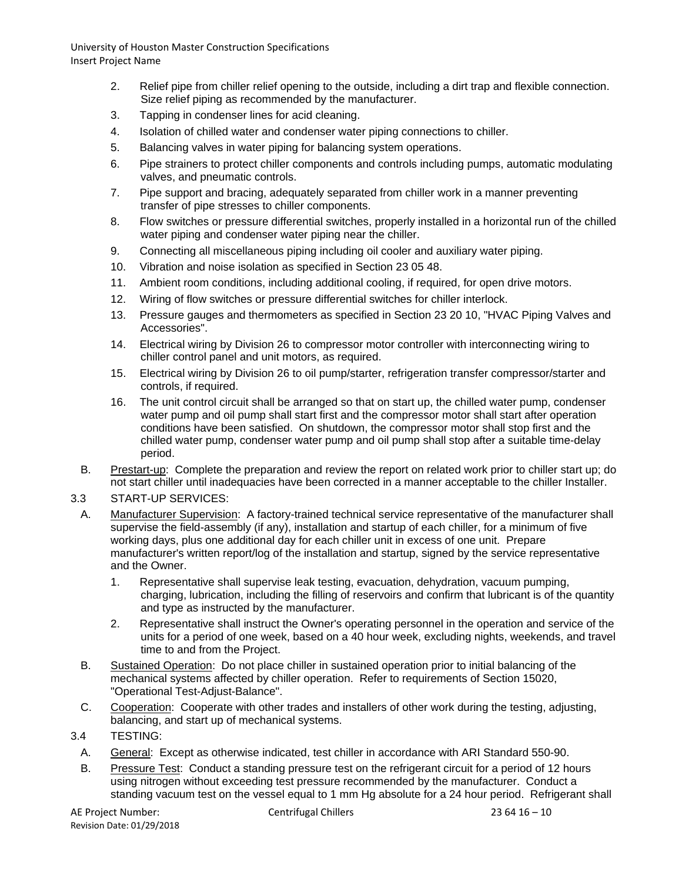- 2. Relief pipe from chiller relief opening to the outside, including a dirt trap and flexible connection. Size relief piping as recommended by the manufacturer.
- 3. Tapping in condenser lines for acid cleaning.
- 4. Isolation of chilled water and condenser water piping connections to chiller.
- 5. Balancing valves in water piping for balancing system operations.
- 6. Pipe strainers to protect chiller components and controls including pumps, automatic modulating valves, and pneumatic controls.
- 7. Pipe support and bracing, adequately separated from chiller work in a manner preventing transfer of pipe stresses to chiller components.
- 8. Flow switches or pressure differential switches, properly installed in a horizontal run of the chilled water piping and condenser water piping near the chiller.
- 9. Connecting all miscellaneous piping including oil cooler and auxiliary water piping.
- 10. Vibration and noise isolation as specified in Section 23 05 48.
- 11. Ambient room conditions, including additional cooling, if required, for open drive motors.
- 12. Wiring of flow switches or pressure differential switches for chiller interlock.
- 13. Pressure gauges and thermometers as specified in Section 23 20 10, "HVAC Piping Valves and Accessories".
- 14. Electrical wiring by Division 26 to compressor motor controller with interconnecting wiring to chiller control panel and unit motors, as required.
- 15. Electrical wiring by Division 26 to oil pump/starter, refrigeration transfer compressor/starter and controls, if required.
- 16. The unit control circuit shall be arranged so that on start up, the chilled water pump, condenser water pump and oil pump shall start first and the compressor motor shall start after operation conditions have been satisfied. On shutdown, the compressor motor shall stop first and the chilled water pump, condenser water pump and oil pump shall stop after a suitable time-delay period.
- B. Prestart-up: Complete the preparation and review the report on related work prior to chiller start up; do not start chiller until inadequacies have been corrected in a manner acceptable to the chiller Installer.

#### 3.3 START-UP SERVICES:

- A. Manufacturer Supervision: A factory-trained technical service representative of the manufacturer shall supervise the field-assembly (if any), installation and startup of each chiller, for a minimum of five working days, plus one additional day for each chiller unit in excess of one unit. Prepare manufacturer's written report/log of the installation and startup, signed by the service representative and the Owner.
	- 1. Representative shall supervise leak testing, evacuation, dehydration, vacuum pumping, charging, lubrication, including the filling of reservoirs and confirm that lubricant is of the quantity and type as instructed by the manufacturer.
	- 2. Representative shall instruct the Owner's operating personnel in the operation and service of the units for a period of one week, based on a 40 hour week, excluding nights, weekends, and travel time to and from the Project.
- B. Sustained Operation: Do not place chiller in sustained operation prior to initial balancing of the mechanical systems affected by chiller operation. Refer to requirements of Section 15020, "Operational Test-Adjust-Balance".
- C. Cooperation: Cooperate with other trades and installers of other work during the testing, adjusting, balancing, and start up of mechanical systems.

#### 3.4 TESTING:

- A. General: Except as otherwise indicated, test chiller in accordance with ARI Standard 550-90.
- B. Pressure Test: Conduct a standing pressure test on the refrigerant circuit for a period of 12 hours using nitrogen without exceeding test pressure recommended by the manufacturer. Conduct a standing vacuum test on the vessel equal to 1 mm Hg absolute for a 24 hour period. Refrigerant shall